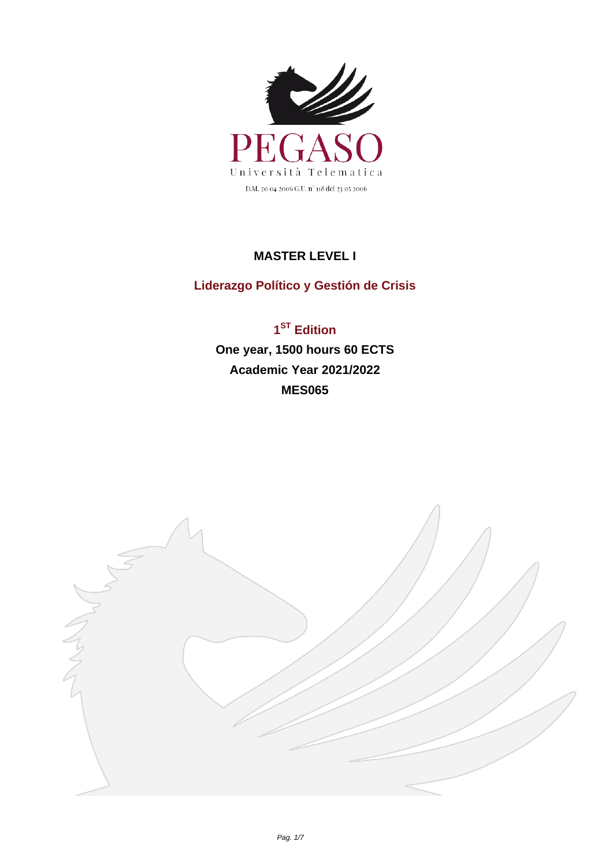

## **MASTER LEVEL I**

## **Liderazgo Político y Gestión de Crisis**

**1 ST Edition One year, 1500 hours 60 ECTS Academic Year 2021/2022 MES065**

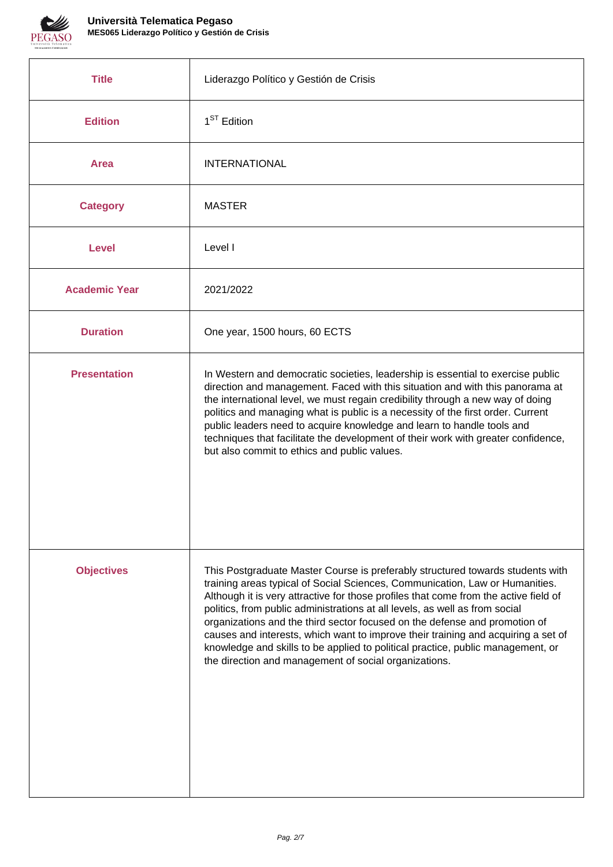

| <b>Title</b>         | Liderazgo Político y Gestión de Crisis                                                                                                                                                                                                                                                                                                                                                                                                                                                                                                                                                                                                               |
|----------------------|------------------------------------------------------------------------------------------------------------------------------------------------------------------------------------------------------------------------------------------------------------------------------------------------------------------------------------------------------------------------------------------------------------------------------------------------------------------------------------------------------------------------------------------------------------------------------------------------------------------------------------------------------|
| <b>Edition</b>       | $1ST$ Edition                                                                                                                                                                                                                                                                                                                                                                                                                                                                                                                                                                                                                                        |
| <b>Area</b>          | <b>INTERNATIONAL</b>                                                                                                                                                                                                                                                                                                                                                                                                                                                                                                                                                                                                                                 |
| <b>Category</b>      | <b>MASTER</b>                                                                                                                                                                                                                                                                                                                                                                                                                                                                                                                                                                                                                                        |
| <b>Level</b>         | Level I                                                                                                                                                                                                                                                                                                                                                                                                                                                                                                                                                                                                                                              |
| <b>Academic Year</b> | 2021/2022                                                                                                                                                                                                                                                                                                                                                                                                                                                                                                                                                                                                                                            |
| <b>Duration</b>      | One year, 1500 hours, 60 ECTS                                                                                                                                                                                                                                                                                                                                                                                                                                                                                                                                                                                                                        |
| <b>Presentation</b>  | In Western and democratic societies, leadership is essential to exercise public<br>direction and management. Faced with this situation and with this panorama at<br>the international level, we must regain credibility through a new way of doing<br>politics and managing what is public is a necessity of the first order. Current<br>public leaders need to acquire knowledge and learn to handle tools and<br>techniques that facilitate the development of their work with greater confidence,<br>but also commit to ethics and public values.                                                                                                 |
| <b>Objectives</b>    | This Postgraduate Master Course is preferably structured towards students with<br>training areas typical of Social Sciences, Communication, Law or Humanities.<br>Although it is very attractive for those profiles that come from the active field of<br>politics, from public administrations at all levels, as well as from social<br>organizations and the third sector focused on the defense and promotion of<br>causes and interests, which want to improve their training and acquiring a set of<br>knowledge and skills to be applied to political practice, public management, or<br>the direction and management of social organizations. |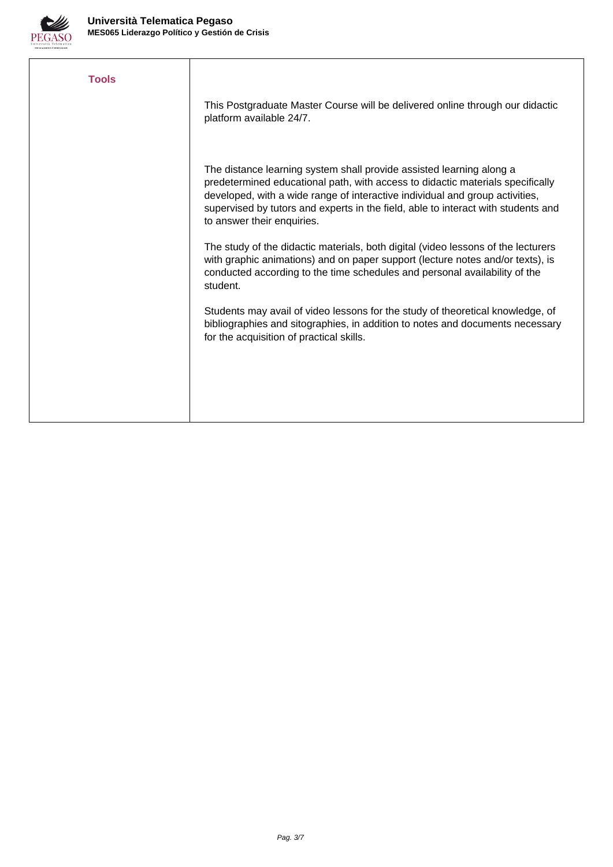

| <b>Tools</b> |                                                                                                                                                                                                                                                                                                                                                           |
|--------------|-----------------------------------------------------------------------------------------------------------------------------------------------------------------------------------------------------------------------------------------------------------------------------------------------------------------------------------------------------------|
|              | This Postgraduate Master Course will be delivered online through our didactic<br>platform available 24/7.                                                                                                                                                                                                                                                 |
|              | The distance learning system shall provide assisted learning along a<br>predetermined educational path, with access to didactic materials specifically<br>developed, with a wide range of interactive individual and group activities,<br>supervised by tutors and experts in the field, able to interact with students and<br>to answer their enquiries. |
|              | The study of the didactic materials, both digital (video lessons of the lecturers<br>with graphic animations) and on paper support (lecture notes and/or texts), is<br>conducted according to the time schedules and personal availability of the<br>student.                                                                                             |
|              | Students may avail of video lessons for the study of theoretical knowledge, of<br>bibliographies and sitographies, in addition to notes and documents necessary<br>for the acquisition of practical skills.                                                                                                                                               |
|              |                                                                                                                                                                                                                                                                                                                                                           |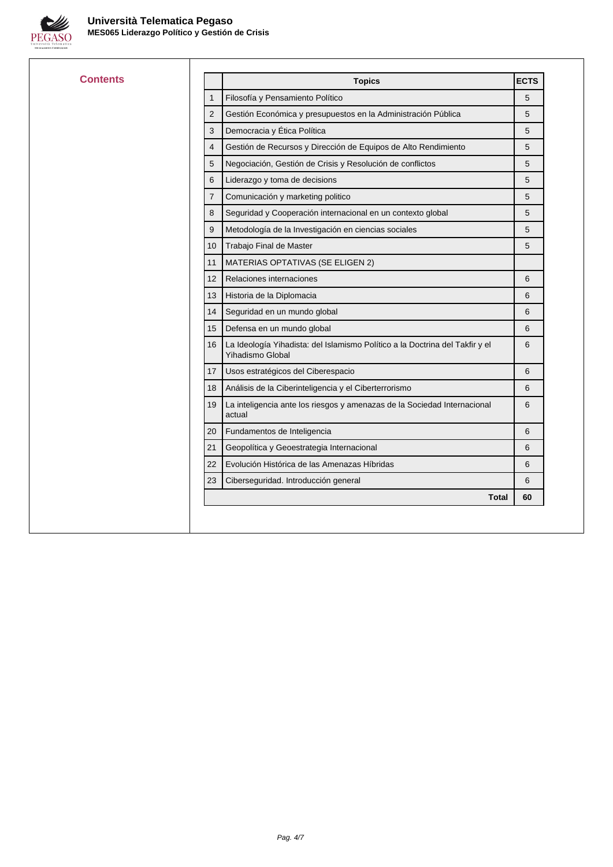

| <b>Contents</b> |                | <b>Topics</b>                                                                                    | <b>ECTS</b> |
|-----------------|----------------|--------------------------------------------------------------------------------------------------|-------------|
|                 | $\mathbf{1}$   | Filosofía y Pensamiento Político                                                                 | 5           |
|                 | 2              | Gestión Económica y presupuestos en la Administración Pública                                    | 5           |
|                 | 3              | Democracia y Ética Política                                                                      | 5           |
|                 | 4              | Gestión de Recursos y Dirección de Equipos de Alto Rendimiento                                   | 5           |
|                 | 5              | Negociación, Gestión de Crisis y Resolución de conflictos                                        | 5           |
|                 | 6              | Liderazgo y toma de decisions                                                                    | 5           |
|                 | $\overline{7}$ | Comunicación y marketing politico                                                                | 5           |
|                 | 8              | Seguridad y Cooperación internacional en un contexto global                                      | 5           |
|                 | 9              | Metodología de la Investigación en ciencias sociales                                             | 5           |
|                 | 10             | Trabajo Final de Master                                                                          | 5           |
|                 | 11             | MATERIAS OPTATIVAS (SE ELIGEN 2)                                                                 |             |
|                 | 12             | Relaciones internaciones                                                                         | 6           |
|                 | 13             | Historia de la Diplomacia                                                                        | 6           |
|                 | 14             | Seguridad en un mundo global                                                                     | 6           |
|                 | 15             | Defensa en un mundo global                                                                       | 6           |
|                 | 16             | La Ideología Yihadista: del Islamismo Político a la Doctrina del Takfir y el<br>Yihadismo Global | 6           |
|                 | 17             | Usos estratégicos del Ciberespacio                                                               | 6           |
|                 | 18             | Análisis de la Ciberinteligencia y el Ciberterrorismo                                            | 6           |
|                 | 19             | La inteligencia ante los riesgos y amenazas de la Sociedad Internacional<br>actual               | 6           |
|                 | 20             | Fundamentos de Inteligencia                                                                      | 6           |
|                 | 21             | Geopolítica y Geoestrategia Internacional                                                        | 6           |
|                 | 22             | Evolución Histórica de las Amenazas Híbridas                                                     | 6           |
|                 | 23             | Ciberseguridad. Introducción general                                                             | 6           |
|                 |                | <b>Total</b>                                                                                     | 60          |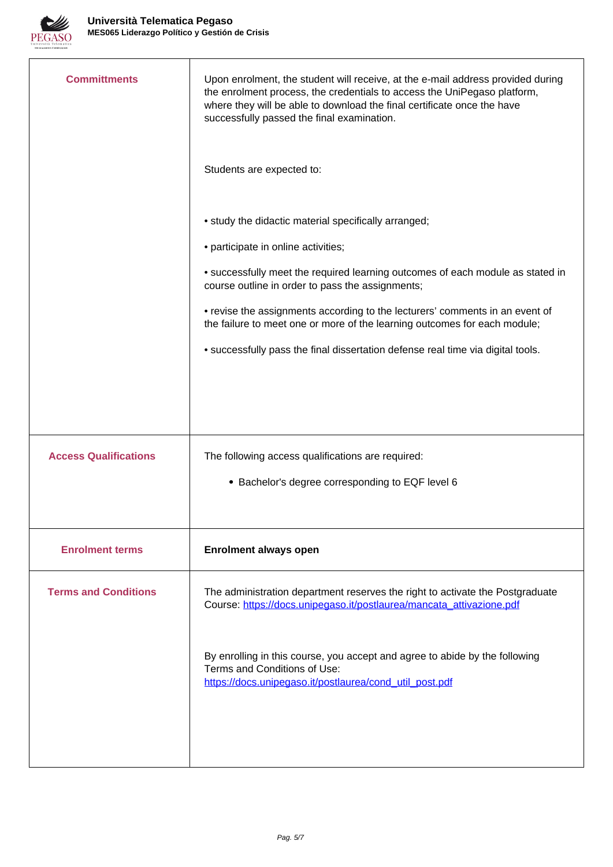

| Upon enrolment, the student will receive, at the e-mail address provided during<br>the enrolment process, the credentials to access the UniPegaso platform,<br>where they will be able to download the final certificate once the have<br>successfully passed the final examination. |
|--------------------------------------------------------------------------------------------------------------------------------------------------------------------------------------------------------------------------------------------------------------------------------------|
| Students are expected to:                                                                                                                                                                                                                                                            |
| • study the didactic material specifically arranged;                                                                                                                                                                                                                                 |
| • participate in online activities;                                                                                                                                                                                                                                                  |
| • successfully meet the required learning outcomes of each module as stated in<br>course outline in order to pass the assignments;                                                                                                                                                   |
| • revise the assignments according to the lecturers' comments in an event of<br>the failure to meet one or more of the learning outcomes for each module;                                                                                                                            |
| • successfully pass the final dissertation defense real time via digital tools.                                                                                                                                                                                                      |
|                                                                                                                                                                                                                                                                                      |
| The following access qualifications are required:                                                                                                                                                                                                                                    |
| • Bachelor's degree corresponding to EQF level 6                                                                                                                                                                                                                                     |
| <b>Enrolment always open</b>                                                                                                                                                                                                                                                         |
| The administration department reserves the right to activate the Postgraduate<br>Course: https://docs.unipegaso.it/postlaurea/mancata_attivazione.pdf                                                                                                                                |
| By enrolling in this course, you accept and agree to abide by the following<br>Terms and Conditions of Use:<br>https://docs.unipegaso.it/postlaurea/cond_util_post.pdf                                                                                                               |
|                                                                                                                                                                                                                                                                                      |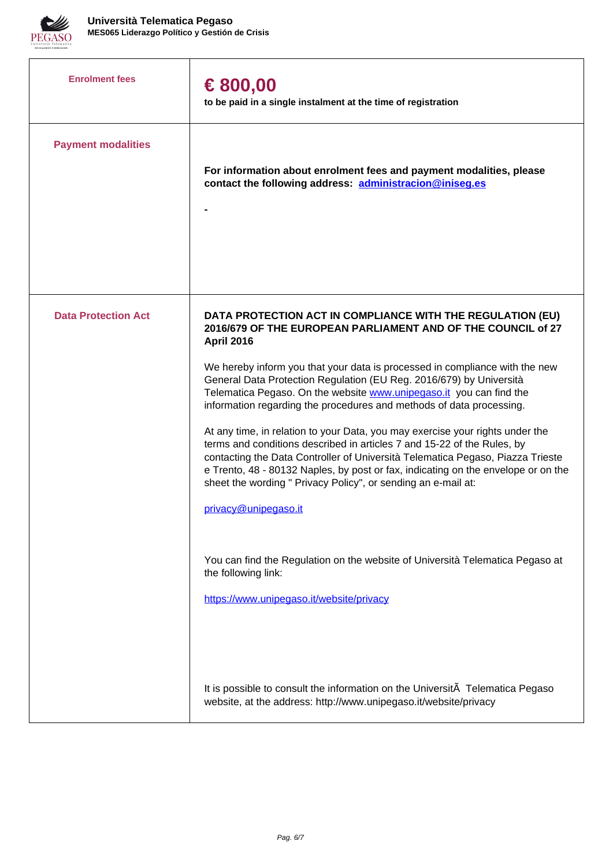

| <b>Enrolment fees</b>      | € 800,00<br>to be paid in a single instalment at the time of registration                                                                                                                                                                                                                                                                                                                                                                                                                                                                                                                                                                                                                                                                                                                                                                                                                                                                                                                                                            |
|----------------------------|--------------------------------------------------------------------------------------------------------------------------------------------------------------------------------------------------------------------------------------------------------------------------------------------------------------------------------------------------------------------------------------------------------------------------------------------------------------------------------------------------------------------------------------------------------------------------------------------------------------------------------------------------------------------------------------------------------------------------------------------------------------------------------------------------------------------------------------------------------------------------------------------------------------------------------------------------------------------------------------------------------------------------------------|
| <b>Payment modalities</b>  | For information about enrolment fees and payment modalities, please<br>contact the following address: administracion@iniseg.es                                                                                                                                                                                                                                                                                                                                                                                                                                                                                                                                                                                                                                                                                                                                                                                                                                                                                                       |
| <b>Data Protection Act</b> | DATA PROTECTION ACT IN COMPLIANCE WITH THE REGULATION (EU)<br>2016/679 OF THE EUROPEAN PARLIAMENT AND OF THE COUNCIL of 27<br><b>April 2016</b><br>We hereby inform you that your data is processed in compliance with the new<br>General Data Protection Regulation (EU Reg. 2016/679) by Università<br>Telematica Pegaso. On the website www.unipegaso.it you can find the<br>information regarding the procedures and methods of data processing.<br>At any time, in relation to your Data, you may exercise your rights under the<br>terms and conditions described in articles 7 and 15-22 of the Rules, by<br>contacting the Data Controller of Università Telematica Pegaso, Piazza Trieste<br>e Trento, 48 - 80132 Naples, by post or fax, indicating on the envelope or on the<br>sheet the wording " Privacy Policy", or sending an e-mail at:<br>privacy@unipegaso.it<br>You can find the Regulation on the website of Università Telematica Pegaso at<br>the following link:<br>https://www.unipegaso.it/website/privacy |
|                            | It is possible to consult the information on the UniversitA Telematica Pegaso<br>website, at the address: http://www.unipegaso.it/website/privacy                                                                                                                                                                                                                                                                                                                                                                                                                                                                                                                                                                                                                                                                                                                                                                                                                                                                                    |